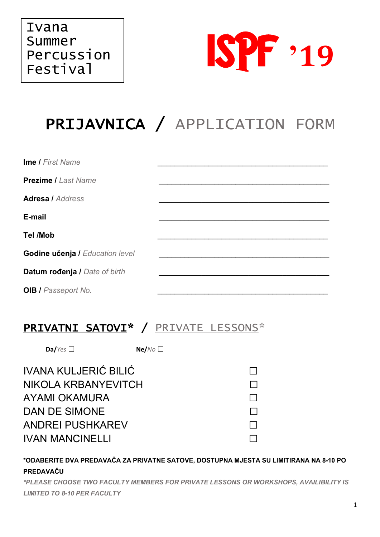

# PRIJAVNICA / APPLICATION FORM

| <b>Ime / First Name</b>                |  |
|----------------------------------------|--|
| <b>Prezime / Last Name</b>             |  |
| <b>Adresa / Address</b>                |  |
| E-mail                                 |  |
| <b>Tel /Mob</b>                        |  |
| <b>Godine učenja / Education level</b> |  |
| Datum rođenja / Date of birth          |  |
| <b>OIB / Passeport No.</b>             |  |

### PRIVATNI SATOVI\* / PRIVATE LESSONS\*

 $DaYes$ 

 $Ne/NO$ 

**IVANA KULJERIĆ BILIĆ** NIKOLA KRBANYEVITCH **AYAMI OKAMURA DAN DE SIMONE ANDREI PUSHKAREV IVAN MANCINELLI** 

 $\Box$  $\Box$  $\Box$  $\Box$  $\Box$ П

\*ODABERITE DVA PREDAVAČA ZA PRIVATNE SATOVE, DOSTUPNA MJESTA SU LIMITIRANA NA 8-10 PO PREDAVAČU

\*PLEASE CHOOSE TWO FACULTY MEMBERS FOR PRIVATE LESSONS OR WORKSHOPS, AVAILIBILITY IS **LIMITED TO 8-10 PER FACULTY**